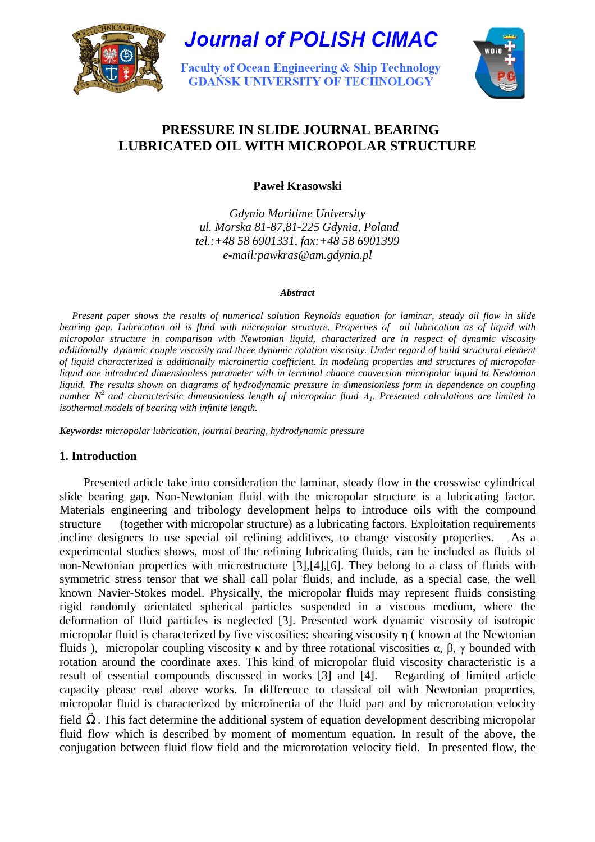

# **PRESSURE IN SLIDE JOURNAL BEARING LUBRICATED OIL WITH MICROPOLAR STRUCTURE**

**Paweł Krasowski** 

*Gdynia Maritime University ul. Morska 81-87,81-225 Gdynia, Poland tel.:+48 58 6901331, fax:+48 58 6901399 e-mail:pawkras@am.gdynia.pl* 

#### *Abstract*

 *Present paper shows the results of numerical solution Reynolds equation for laminar, steady oil flow in slide bearing gap. Lubrication oil is fluid with micropolar structure. Properties of oil lubrication as of liquid with micropolar structure in comparison with Newtonian liquid, characterized are in respect of dynamic viscosity additionally dynamic couple viscosity and three dynamic rotation viscosity. Under regard of build structural element of liquid characterized is additionally microinertia coefficient. In modeling properties and structures of micropolar liquid one introduced dimensionless parameter with in terminal chance conversion micropolar liquid to Newtonian liquid. The results shown on diagrams of hydrodynamic pressure in dimensionless form in dependence on coupling number N<sup>2</sup>and characteristic dimensionless length of micropolar fluid* Λ*1. Presented calculations are limited to isothermal models of bearing with infinite length.* 

*Keywords: micropolar lubrication, journal bearing, hydrodynamic pressure* 

## **1. Introduction**

 Presented article take into consideration the laminar, steady flow in the crosswise cylindrical slide bearing gap. Non-Newtonian fluid with the micropolar structure is a lubricating factor. Materials engineering and tribology development helps to introduce oils with the compound structure (together with micropolar structure) as a lubricating factors. Exploitation requirements incline designers to use special oil refining additives, to change viscosity properties. As a experimental studies shows, most of the refining lubricating fluids, can be included as fluids of non-Newtonian properties with microstructure [3],[4],[6]. They belong to a class of fluids with symmetric stress tensor that we shall call polar fluids, and include, as a special case, the well known Navier-Stokes model. Physically, the micropolar fluids may represent fluids consisting rigid randomly orientated spherical particles suspended in a viscous medium, where the deformation of fluid particles is neglected [3]. Presented work dynamic viscosity of isotropic micropolar fluid is characterized by five viscosities: shearing viscosity η ( known at the Newtonian fluids ), micropolar coupling viscosity κ and by three rotational viscosities  $\alpha$ ,  $\beta$ ,  $\gamma$  bounded with rotation around the coordinate axes. This kind of micropolar fluid viscosity characteristic is a result of essential compounds discussed in works [3] and [4]. Regarding of limited article capacity please read above works. In difference to classical oil with Newtonian properties, micropolar fluid is characterized by microinertia of the fluid part and by microrotation velocity field  $\Omega$ . This fact determine the additional system of equation development describing micropolar fluid flow which is described by moment of momentum equation. In result of the above, the conjugation between fluid flow field and the microrotation velocity field. In presented flow, the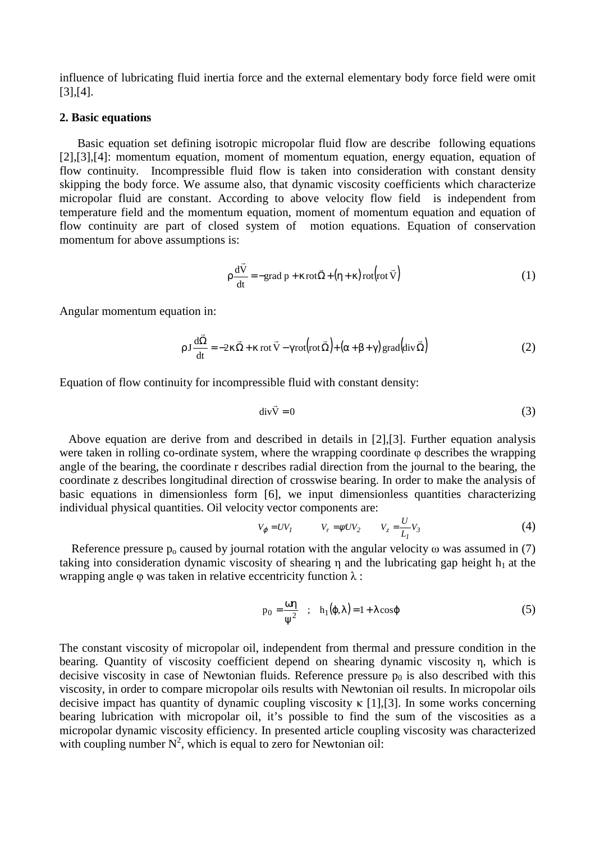influence of lubricating fluid inertia force and the external elementary body force field were omit [3],[4].

#### **2. Basic equations**

 Basic equation set defining isotropic micropolar fluid flow are describe following equations [2],[3],[4]: momentum equation, moment of momentum equation, energy equation, equation of flow continuity. Incompressible fluid flow is taken into consideration with constant density skipping the body force. We assume also, that dynamic viscosity coefficients which characterize micropolar fluid are constant. According to above velocity flow field is independent from temperature field and the momentum equation, moment of momentum equation and equation of flow continuity are part of closed system of motion equations. Equation of conservation momentum for above assumptions is:

$$
\rho \frac{d\vec{V}}{dt} = -\text{grad } p + \kappa \cot \vec{\Omega} + (\eta + \kappa) \cot(\cot \vec{V})
$$
 (1)

Angular momentum equation in:

$$
\rho J \frac{d\vec{\Omega}}{dt} = -2\kappa \vec{\Omega} + \kappa \cot \vec{V} - \gamma \cot(\cot \vec{\Omega}) + (\alpha + \beta + \gamma) \text{grad}(\text{div } \vec{\Omega})
$$
(2)

Equation of flow continuity for incompressible fluid with constant density:

$$
div\vec{V} = 0
$$
 (3)

 Above equation are derive from and described in details in [2],[3]. Further equation analysis were taken in rolling co-ordinate system, where the wrapping coordinate φ describes the wrapping angle of the bearing, the coordinate r describes radial direction from the journal to the bearing, the coordinate z describes longitudinal direction of crosswise bearing. In order to make the analysis of basic equations in dimensionless form [6], we input dimensionless quantities characterizing individual physical quantities. Oil velocity vector components are: *U*

$$
V_{\varphi} = UV_I \qquad V_r = \psi UV_2 \qquad V_z = \frac{U}{L_I} V_3 \tag{4}
$$

Reference pressure  $p_0$  caused by journal rotation with the angular velocity  $\omega$  was assumed in (7) taking into consideration dynamic viscosity of shearing  $\eta$  and the lubricating gap height  $h_1$  at the wrapping angle  $\varphi$  was taken in relative eccentricity function  $\lambda$ :

$$
p_0 = \frac{\omega \eta}{\psi^2} \quad ; \quad h_1(\varphi, \lambda) = 1 + \lambda \cos \varphi \tag{5}
$$

The constant viscosity of micropolar oil, independent from thermal and pressure condition in the bearing. Quantity of viscosity coefficient depend on shearing dynamic viscosity η, which is decisive viscosity in case of Newtonian fluids. Reference pressure  $p_0$  is also described with this viscosity, in order to compare micropolar oils results with Newtonian oil results. In micropolar oils decisive impact has quantity of dynamic coupling viscosity  $\kappa$  [1], [3]. In some works concerning bearing lubrication with micropolar oil, it's possible to find the sum of the viscosities as a micropolar dynamic viscosity efficiency. In presented article coupling viscosity was characterized with coupling number  $N^2$ , which is equal to zero for Newtonian oil: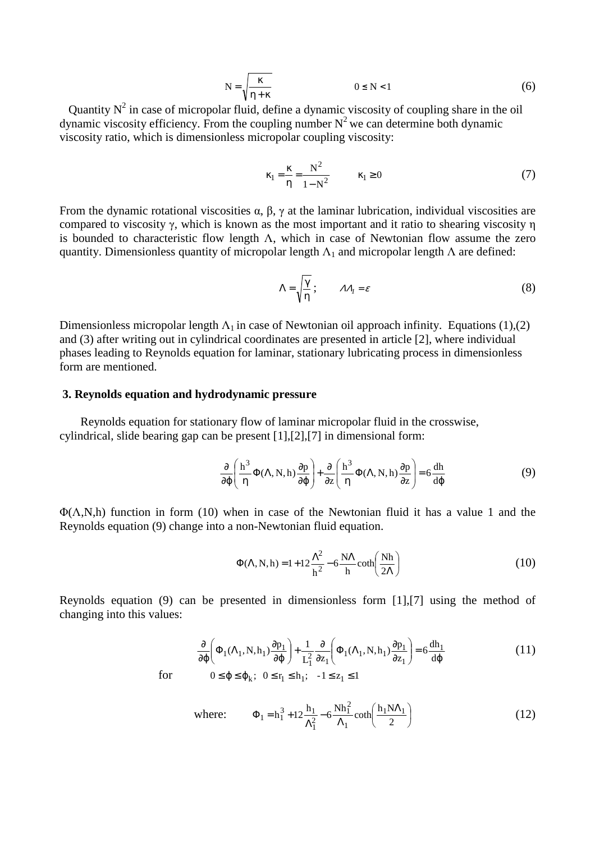$$
N = \sqrt{\frac{\kappa}{\eta + \kappa}}
$$
 (6)

Quantity  $N^2$  in case of micropolar fluid, define a dynamic viscosity of coupling share in the oil dynamic viscosity efficiency. From the coupling number  $N^2$  we can determine both dynamic viscosity ratio, which is dimensionless micropolar coupling viscosity:

$$
\kappa_1 = \frac{\kappa}{\eta} = \frac{N^2}{1 - N^2} \qquad \kappa_1 \ge 0 \tag{7}
$$

From the dynamic rotational viscosities  $\alpha$ ,  $\beta$ ,  $\gamma$  at the laminar lubrication, individual viscosities are compared to viscosity  $\gamma$ , which is known as the most important and it ratio to shearing viscosity  $\eta$ is bounded to characteristic flow length  $\Lambda$ , which in case of Newtonian flow assume the zero quantity. Dimensionless quantity of micropolar length  $\Lambda_1$  and micropolar length  $\Lambda$  are defined:

$$
\Lambda = \sqrt{\frac{\gamma}{\eta}} \; ; \qquad \Lambda A_l = \varepsilon \tag{8}
$$

Dimensionless micropolar length  $\Lambda_1$  in case of Newtonian oil approach infinity. Equations (1),(2) and (3) after writing out in cylindrical coordinates are presented in article [2], where individual phases leading to Reynolds equation for laminar, stationary lubricating process in dimensionless form are mentioned.

### **3. Reynolds equation and hydrodynamic pressure**

 Reynolds equation for stationary flow of laminar micropolar fluid in the crosswise, cylindrical, slide bearing gap can be present [1],[2],[7] in dimensional form:

$$
\frac{\partial}{\partial \varphi} \left( \frac{h^3}{\eta} \Phi(\Lambda, N, h) \frac{\partial p}{\partial \varphi} \right) + \frac{\partial}{\partial z} \left( \frac{h^3}{\eta} \Phi(\Lambda, N, h) \frac{\partial p}{\partial z} \right) = 6 \frac{dh}{d\varphi}
$$
(9)

 $\Phi(\Lambda, N, h)$  function in form (10) when in case of the Newtonian fluid it has a value 1 and the Reynolds equation (9) change into a non-Newtonian fluid equation.

$$
\Phi(\Lambda, N, h) = 1 + 12 \frac{\Lambda^2}{h^2} - 6 \frac{N\Lambda}{h} \coth\left(\frac{Nh}{2\Lambda}\right)
$$
 (10)

(12)

Reynolds equation (9) can be presented in dimensionless form [1],[7] using the method of changing into this values:

Λ

$$
\frac{\partial}{\partial \varphi} \left( \Phi_1(\Lambda_1, N, h_1) \frac{\partial p_1}{\partial \varphi} \right) + \frac{1}{L_1^2} \frac{\partial}{\partial z_1} \left( \Phi_1(\Lambda_1, N, h_1) \frac{\partial p_1}{\partial z_1} \right) = 6 \frac{dh_1}{d\varphi}
$$
\nfor\n
$$
0 \le \varphi \le \varphi_k; \quad 0 \le r_1 \le h_1; \quad -1 \le z_1 \le 1
$$
\n(11)

where: 
$$
\Phi_1 = h_1^3 + 12 \frac{h_1}{\Lambda_1^2} - 6 \frac{Nh_1^2}{\Lambda_1} \coth\left(\frac{h_1 N \Lambda_1}{2}\right)
$$

1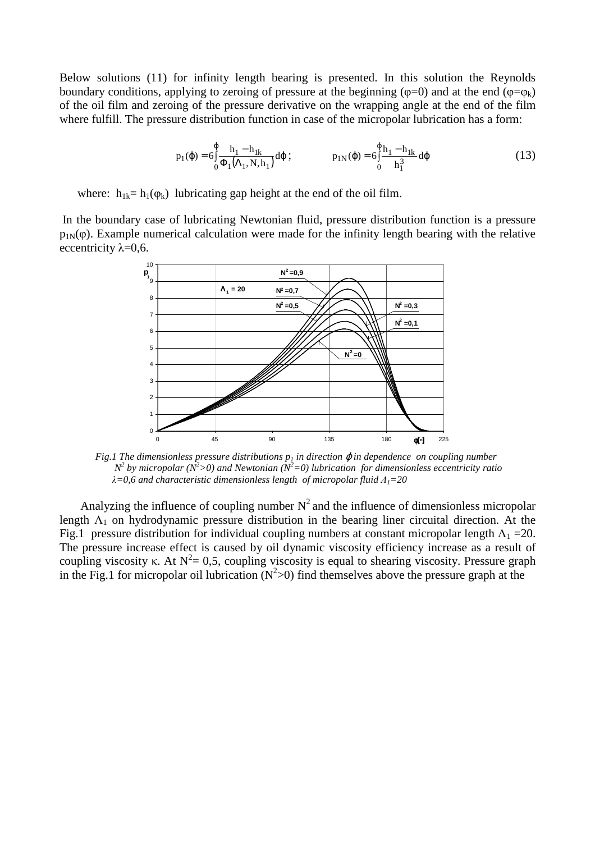Below solutions (11) for infinity length bearing is presented. In this solution the Reynolds boundary conditions, applying to zeroing of pressure at the beginning ( $\varphi=0$ ) and at the end ( $\varphi=\varphi_k$ ) of the oil film and zeroing of the pressure derivative on the wrapping angle at the end of the film where fulfill. The pressure distribution function in case of the micropolar lubrication has a form:

$$
p_1(\varphi) = 6 \int_0^{\varphi} \frac{h_1 - h_{1k}}{\Phi_1(\Lambda_1, N, h_1)} d\varphi ; \qquad p_{1N}(\varphi) = 6 \int_0^{\varphi} \frac{h_1 - h_{1k}}{h_1^3} d\varphi \qquad (13)
$$

where:  $h_{1k} = h_1(\varphi_k)$  lubricating gap height at the end of the oil film.

 In the boundary case of lubricating Newtonian fluid, pressure distribution function is a pressure  $p_{1N}(\varphi)$ . Example numerical calculation were made for the infinity length bearing with the relative eccentricity  $\lambda$ =0,6.



*Fig.1 The dimensionless pressure distributions*  $p_1$  *in direction*  $\varphi$  *in dependence on coupling number*  $N^2$  by micropolar ( $N^2$ >0) and Newtonian ( $N^2$ =0) lubrication for dimensionless eccentricity ratio λ*=0,6 and characteristic dimensionless length of micropolar fluid* Λ*1=20* 

Analyzing the influence of coupling number  $N^2$  and the influence of dimensionless micropolar length  $\Lambda_1$  on hydrodynamic pressure distribution in the bearing liner circuital direction. At the Fig.1 pressure distribution for individual coupling numbers at constant micropolar length  $\Lambda_1$  =20. The pressure increase effect is caused by oil dynamic viscosity efficiency increase as a result of coupling viscosity κ. At  $N^2 = 0.5$ , coupling viscosity is equal to shearing viscosity. Pressure graph in the Fig.1 for micropolar oil lubrication  $(N^2>0)$  find themselves above the pressure graph at the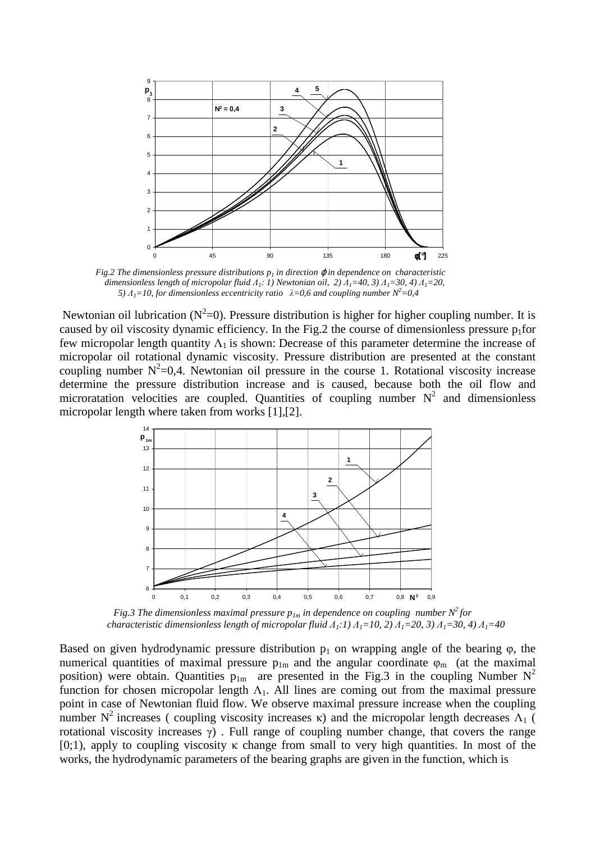

*Fig.2 The dimensionless pressure distributions*  $p<sub>1</sub>$  *in direction*  $\varphi$  *in dependence on characteristic dimensionless length of micropolar fluid*  $\Lambda_1$ : 1) Newtonian oil, 2)  $\Lambda_1$ =40, 3)  $\Lambda_1$ =30, 4)  $\Lambda_1$ =20, *5)*  $\Lambda_1 = 10$ , for dimensionless eccentricity ratio  $\lambda = 0.6$  and coupling number  $N^2 = 0.4$ 

Newtonian oil lubrication ( $N^2$ =0). Pressure distribution is higher for higher coupling number. It is caused by oil viscosity dynamic efficiency. In the Fig.2 the course of dimensionless pressure  $p_1$  for few micropolar length quantity  $\Lambda_1$  is shown: Decrease of this parameter determine the increase of micropolar oil rotational dynamic viscosity. Pressure distribution are presented at the constant coupling number  $N^2=0,4$ . Newtonian oil pressure in the course 1. Rotational viscosity increase determine the pressure distribution increase and is caused, because both the oil flow and microratation velocities are coupled. Quantities of coupling number  $N^2$  and dimensionless micropolar length where taken from works [1],[2].



*Fig.3 The dimensionless maximal pressure*  $p_{lm}$  *in dependence on coupling number N<sup>2</sup> for characteristic dimensionless length of micropolar fluid*  $\Lambda_1$ *:1)*  $\Lambda_1$ =10, 2)  $\Lambda_1$ =20, 3)  $\Lambda_1$ =30, 4)  $\Lambda_1$ =40

Based on given hydrodynamic pressure distribution  $p_1$  on wrapping angle of the bearing  $\varphi$ , the numerical quantities of maximal pressure  $p_{1m}$  and the angular coordinate  $\varphi_m$  (at the maximal position) were obtain. Quantities  $p_{1m}$  are presented in the Fig.3 in the coupling Number N<sup>2</sup> function for chosen micropolar length  $\Lambda_1$ . All lines are coming out from the maximal pressure point in case of Newtonian fluid flow. We observe maximal pressure increase when the coupling number  $N^2$  increases ( coupling viscosity increases κ) and the micropolar length decreases  $Λ_1$  ( rotational viscosity increases γ) . Full range of coupling number change, that covers the range  $[0,1)$ , apply to coupling viscosity κ change from small to very high quantities. In most of the works, the hydrodynamic parameters of the bearing graphs are given in the function, which is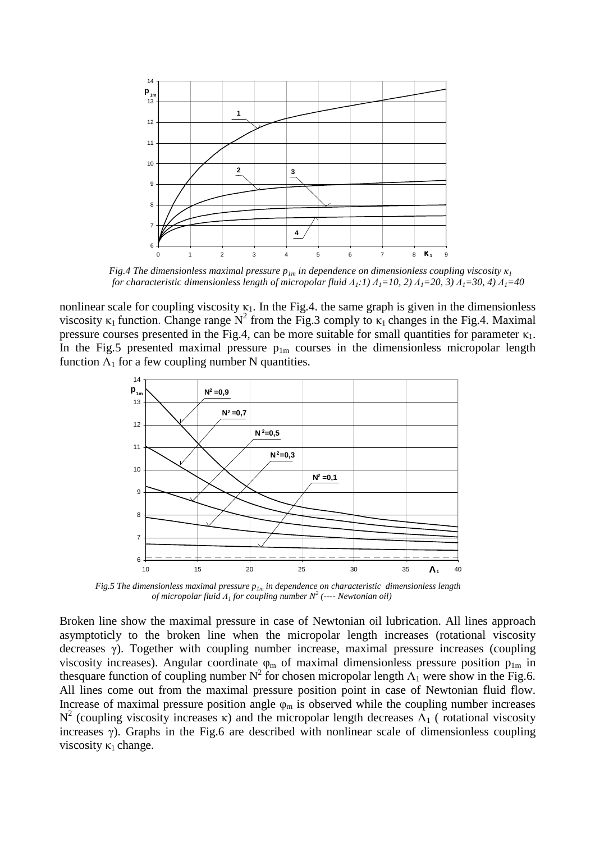

*Fig.4 The dimensionless maximal pressure*  $p_{1m}$  *in dependence on dimensionless coupling viscosity*  $\kappa_1$ *for characteristic dimensionless length of micropolar fluid*  $\Lambda_1$ *:1)*  $\Lambda_1$ =10, 2) $\Lambda_1$ =20, 3) $\Lambda_1$ =30, 4) $\Lambda_1$ =40

nonlinear scale for coupling viscosity  $\kappa_1$ . In the Fig.4. the same graph is given in the dimensionless viscosity  $\kappa_1$  function. Change range N<sup>2</sup> from the Fig.3 comply to  $\kappa_1$  changes in the Fig.4. Maximal pressure courses presented in the Fig.4, can be more suitable for small quantities for parameter  $\kappa_1$ . In the Fig.5 presented maximal pressure  $p_{1m}$  courses in the dimensionless micropolar length function  $\Lambda_1$  for a few coupling number N quantities.



 *Fig.5 The dimensionless maximal pressure p1m in dependence on characteristic dimensionless length of micropolar fluid* Λ*<sup>1</sup> for coupling number N<sup>2</sup> (---- Newtonian oil)* 

Broken line show the maximal pressure in case of Newtonian oil lubrication. All lines approach asymptoticly to the broken line when the micropolar length increases (rotational viscosity decreases γ). Together with coupling number increase, maximal pressure increases (coupling viscosity increases). Angular coordinate  $\varphi_m$  of maximal dimensionless pressure position  $p_{1m}$  in thesquare function of coupling number  $N^2$  for chosen micropolar length  $\Lambda_1$  were show in the Fig.6. All lines come out from the maximal pressure position point in case of Newtonian fluid flow. Increase of maximal pressure position angle  $\varphi_m$  is observed while the coupling number increases  $N^2$  (coupling viscosity increases κ) and the micropolar length decreases  $\Lambda_1$  (rotational viscosity increases γ). Graphs in the Fig.6 are described with nonlinear scale of dimensionless coupling viscosity  $\kappa_1$  change.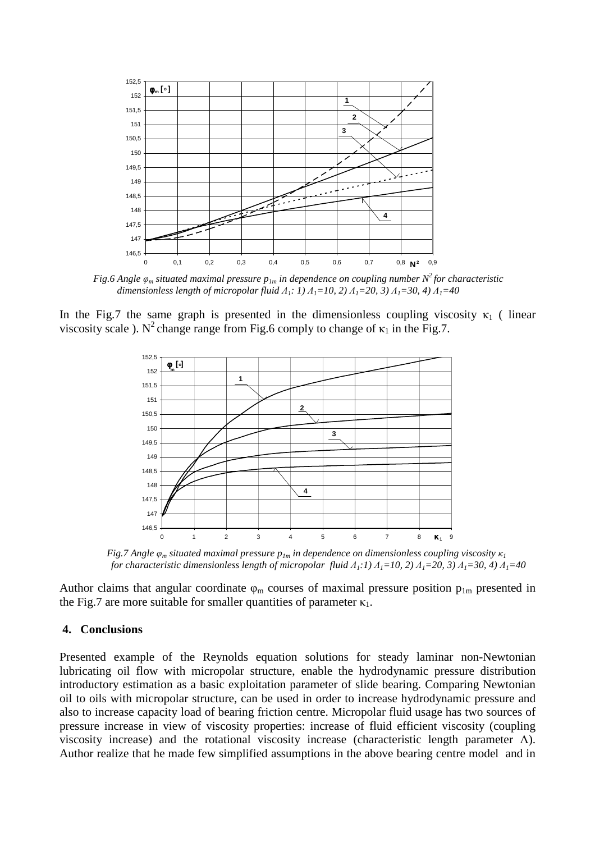

*Fig.6 Angle*  $\varphi_m$  *situated maximal pressure*  $p_{lm}$  *in dependence on coupling number*  $N^2$  *for characteristic dimensionless length of micropolar fluid* Λ*1: 1)* Λ*1=10, 2)* Λ*1=20, 3)* Λ*1=30, 4)* Λ*1=40* 

In the Fig.7 the same graph is presented in the dimensionless coupling viscosity  $\kappa_1$  (linear viscosity scale ). N<sup>2</sup> change range from Fig.6 comply to change of  $\kappa_1$  in the Fig.7.



*Fig.7 Angle*  $\varphi_m$  *situated maximal pressure*  $p_{lm}$  *in dependence on dimensionless coupling viscosity*  $\kappa_l$ *for characteristic dimensionless length of micropolar fluid*  $\Lambda_1$ *:1)*  $\Lambda_1$ =10, 2) $\Lambda_1$ =20, 3) $\Lambda_1$ =30, 4) $\Lambda_1$ =40

Author claims that angular coordinate  $\varphi_m$  courses of maximal pressure position  $p_{1m}$  presented in the Fig.7 are more suitable for smaller quantities of parameter  $\kappa_1$ .

## **4. Conclusions**

Presented example of the Reynolds equation solutions for steady laminar non-Newtonian lubricating oil flow with micropolar structure, enable the hydrodynamic pressure distribution introductory estimation as a basic exploitation parameter of slide bearing. Comparing Newtonian oil to oils with micropolar structure, can be used in order to increase hydrodynamic pressure and also to increase capacity load of bearing friction centre. Micropolar fluid usage has two sources of pressure increase in view of viscosity properties: increase of fluid efficient viscosity (coupling viscosity increase) and the rotational viscosity increase (characteristic length parameter  $\Lambda$ ). Author realize that he made few simplified assumptions in the above bearing centre model and in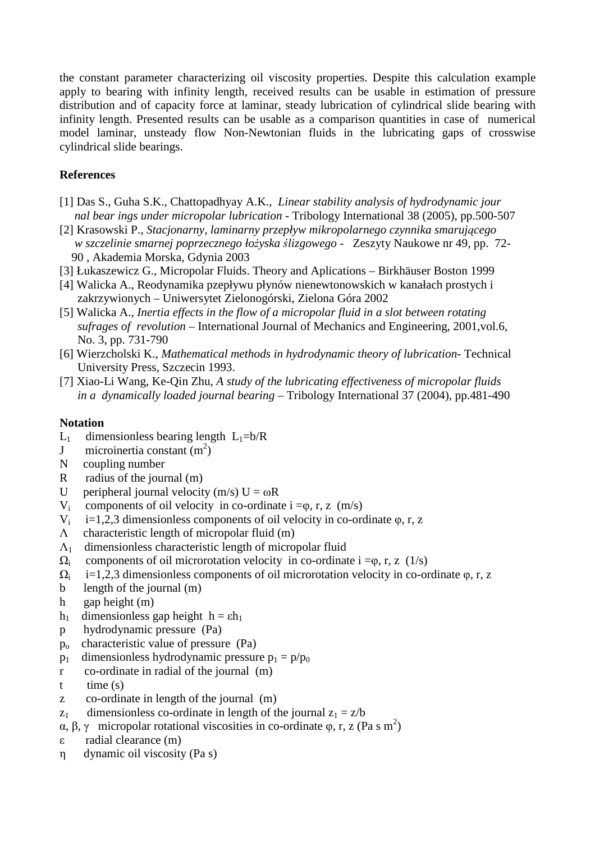the constant parameter characterizing oil viscosity properties. Despite this calculation example apply to bearing with infinity length, received results can be usable in estimation of pressure distribution and of capacity force at laminar, steady lubrication of cylindrical slide bearing with infinity length. Presented results can be usable as a comparison quantities in case of numerical model laminar, unsteady flow Non-Newtonian fluids in the lubricating gaps of crosswise cylindrical slide bearings.

## **References**

- [1] Das S., Guha S.K., Chattopadhyay A.K., *Linear stability analysis of hydrodynamic jour nal bear ings under micropolar lubrication* - Tribology International 38 (2005), pp.500-507
- [2] Krasowski P., *Stacjonarny, laminarny przepływ mikropolarnego czynnika smaruj*ą*cego w szczelinie smarnej poprzecznego ło*Ŝ*yska* ś*lizgowego* - Zeszyty Naukowe nr 49, pp. 72- 90 , Akademia Morska, Gdynia 2003
- [3] Łukaszewicz G., Micropolar Fluids. Theory and Aplications Birkhäuser Boston 1999
- [4] Walicka A., Reodynamika pzepływu płynów nienewtonowskich w kanałach prostych i zakrzywionych – Uniwersytet Zielonogórski, Zielona Góra 2002
- [5] Walicka A., *Inertia effects in the flow of a micropolar fluid in a slot between rotating sufrages of revolution* – International Journal of Mechanics and Engineering, 2001,vol.6, No. 3, pp. 731-790
- [6] Wierzcholski K., *Mathematical methods in hydrodynamic theory of lubrication* Technical University Press, Szczecin 1993.
- [7] Xiao-Li Wang, Ke-Qin Zhu, *A study of the lubricating effectiveness of micropolar fluids in a dynamically loaded journal bearing* – Tribology International 37 (2004), pp.481-490

## **Notation**

- $L_1$  dimensionless bearing length  $L_1=b/R$
- J microinertia constant  $(m<sup>2</sup>)$
- N coupling number
- R radius of the journal (m)
- U peripheral journal velocity  $(m/s) U = \omega R$
- $V_i$ components of oil velocity in co-ordinate  $i = \varphi, r, z \text{ (m/s)}$
- $V_i$ i=1,2,3 dimensionless components of oil velocity in co-ordinate  $\varphi$ , r, z
- Λ characteristic length of micropolar fluid (m)
- Λ1 dimensionless characteristic length of micropolar fluid
- $\Omega_i$ components of oil microrotation velocity in co-ordinate  $i = \varphi, r, z \in (1/s)$
- $\Omega_i$  $i=1,2,3$  dimensionless components of oil microrotation velocity in co-ordinate  $\varphi$ , r, z
- b length of the journal (m)
- h gap height (m)
- h<sub>1</sub> dimensionless gap height  $h = \varepsilon h_1$
- p hydrodynamic pressure (Pa)
- po characteristic value of pressure (Pa)
- $p_1$  dimensionless hydrodynamic pressure  $p_1 = p/p_0$
- r co-ordinate in radial of the journal (m)
- $t$  time  $(s)$
- z co-ordinate in length of the journal (m)
- $z_1$  dimensionless co-ordinate in length of the journal  $z_1 = z/b$
- α, β, γ micropolar rotational viscosities in co-ordinate  $\varphi$ , r, z (Pa s m<sup>2</sup>)
- ε radial clearance (m)
- η dynamic oil viscosity (Pa s)